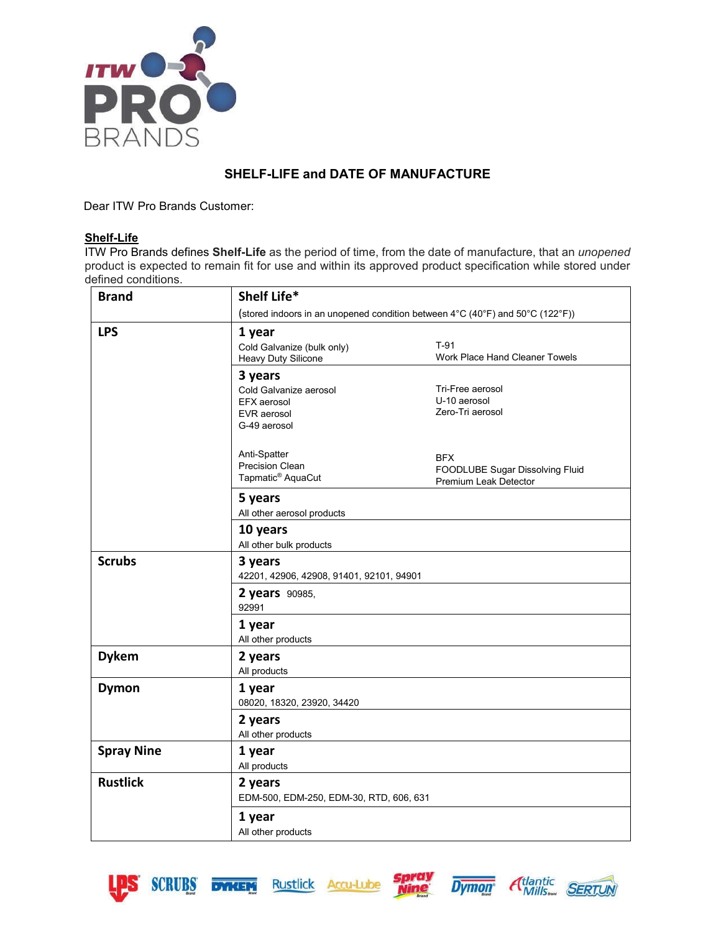

## **SHELF-LIFE and DATE OF MANUFACTURE**

Dear ITW Pro Brands Customer:

## **Shelf-Life**

ITW Pro Brands defines **Shelf-Life** as the period of time, from the date of manufacture, that an *unopened* product is expected to remain fit for use and within its approved product specification while stored under defined conditions.

| <b>Brand</b>      | Shelf Life*                              |                                                                               |  |
|-------------------|------------------------------------------|-------------------------------------------------------------------------------|--|
|                   |                                          | (stored indoors in an unopened condition between 4°C (40°F) and 50°C (122°F)) |  |
| <b>LPS</b>        | 1 year                                   |                                                                               |  |
|                   | Cold Galvanize (bulk only)               | $T-91$                                                                        |  |
|                   | Heavy Duty Silicone                      | Work Place Hand Cleaner Towels                                                |  |
|                   | 3 years                                  |                                                                               |  |
|                   | Cold Galvanize aerosol                   | Tri-Free aerosol                                                              |  |
|                   | EFX aerosol                              | U-10 aerosol                                                                  |  |
|                   | EVR aerosol<br>G-49 aerosol              | Zero-Tri aerosol                                                              |  |
|                   |                                          |                                                                               |  |
|                   | Anti-Spatter                             | <b>BFX</b>                                                                    |  |
|                   | <b>Precision Clean</b>                   | FOODLUBE Sugar Dissolving Fluid                                               |  |
|                   | Tapmatic <sup>®</sup> AquaCut            | Premium Leak Detector                                                         |  |
|                   | 5 years                                  |                                                                               |  |
|                   | All other aerosol products               |                                                                               |  |
|                   | 10 years                                 |                                                                               |  |
|                   | All other bulk products                  |                                                                               |  |
| <b>Scrubs</b>     | 3 years                                  |                                                                               |  |
|                   | 42201, 42906, 42908, 91401, 92101, 94901 |                                                                               |  |
|                   | 2 years 90985,                           |                                                                               |  |
|                   | 92991                                    |                                                                               |  |
|                   | 1 year                                   |                                                                               |  |
|                   | All other products                       |                                                                               |  |
| <b>Dykem</b>      | 2 years                                  |                                                                               |  |
|                   | All products                             |                                                                               |  |
| <b>Dymon</b>      | 1 year                                   |                                                                               |  |
|                   | 08020, 18320, 23920, 34420               |                                                                               |  |
|                   | 2 years                                  |                                                                               |  |
|                   | All other products                       |                                                                               |  |
| <b>Spray Nine</b> | 1 year                                   |                                                                               |  |
|                   | All products                             |                                                                               |  |
| <b>Rustlick</b>   | 2 years                                  |                                                                               |  |
|                   | EDM-500, EDM-250, EDM-30, RTD, 606, 631  |                                                                               |  |
|                   | 1 year                                   |                                                                               |  |
|                   | All other products                       |                                                                               |  |
|                   |                                          |                                                                               |  |









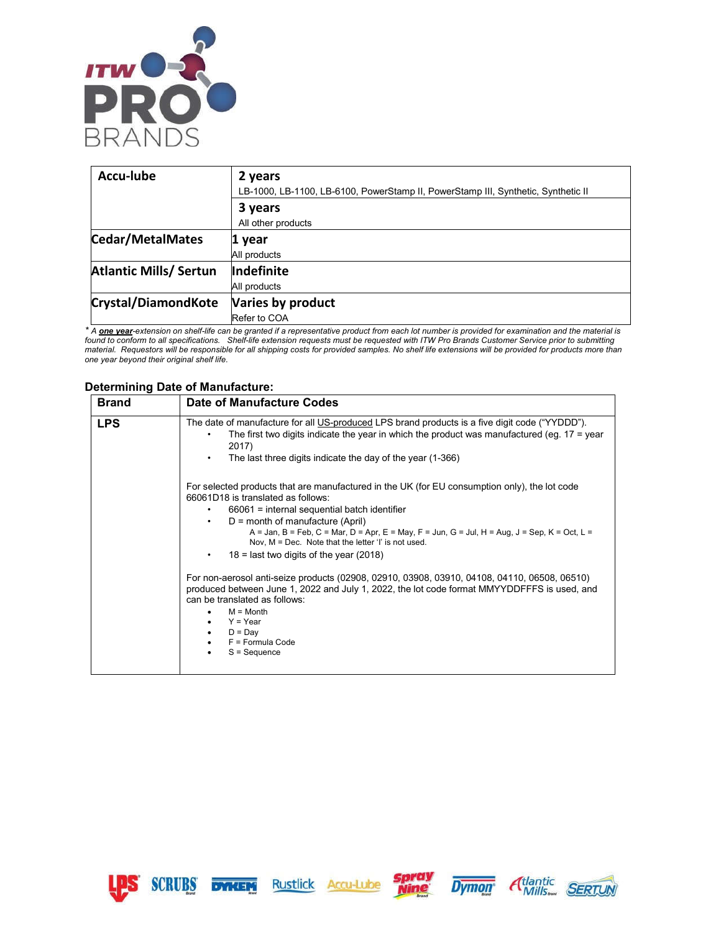

| Accu-lube                                   | 2 years                                                                           |
|---------------------------------------------|-----------------------------------------------------------------------------------|
|                                             | LB-1000, LB-1100, LB-6100, PowerStamp II, PowerStamp III, Synthetic, Synthetic II |
|                                             | 3 years                                                                           |
|                                             | All other products                                                                |
| <b>Cedar/MetalMates</b>                     | 1 year                                                                            |
|                                             | All products                                                                      |
| <b>Atlantic Mills/ Sertun</b><br>Indefinite |                                                                                   |
|                                             | All products                                                                      |
| <b>Crystal/DiamondKote</b>                  | Varies by product                                                                 |
|                                             | Refer to COA                                                                      |

*\* A one year-extension on shelf-life can be granted if a representative product from each lot number is provided for examination and the material is found to conform to all specifications. Shelf-life extension requests must be requested with ITW Pro Brands Customer Service prior to submitting material. Requestors will be responsible for all shipping costs for provided samples. No shelf life extensions will be provided for products more than one year beyond their original shelf life.*

## **Determining Date of Manufacture:**

| <b>Brand</b> | Date of Manufacture Codes                                                                                                                                                                                                                                                                                                                                                                                                                                                                                                                                                                                                                                                                                                                                         |
|--------------|-------------------------------------------------------------------------------------------------------------------------------------------------------------------------------------------------------------------------------------------------------------------------------------------------------------------------------------------------------------------------------------------------------------------------------------------------------------------------------------------------------------------------------------------------------------------------------------------------------------------------------------------------------------------------------------------------------------------------------------------------------------------|
| <b>LPS</b>   | The date of manufacture for all US-produced LPS brand products is a five digit code ("YYDDD").<br>The first two digits indicate the year in which the product was manufactured (eg. $17 =$ year<br>2017)<br>The last three digits indicate the day of the year (1-366)<br>٠                                                                                                                                                                                                                                                                                                                                                                                                                                                                                       |
|              | For selected products that are manufactured in the UK (for EU consumption only), the lot code<br>66061D18 is translated as follows:<br>$66061$ = internal sequential batch identifier<br>$D =$ month of manufacture (April)<br>$\bullet$<br>A = Jan, B = Feb, C = Mar, D = Apr, E = May, F = Jun, G = Jul, H = Aug, J = Sep, K = Oct, L =<br>Nov, $M = Dec.$ Note that the letter 'l' is not used.<br>$18$ = last two digits of the year (2018)<br>For non-aerosol anti-seize products (02908, 02910, 03908, 03910, 04108, 04110, 06508, 06510)<br>produced between June 1, 2022 and July 1, 2022, the lot code format MMYYDDFFFS is used, and<br>can be translated as follows:<br>$M =$ Month<br>$Y = Year$<br>$D = Day$<br>$F = Formula Code$<br>$S = Sequence$ |







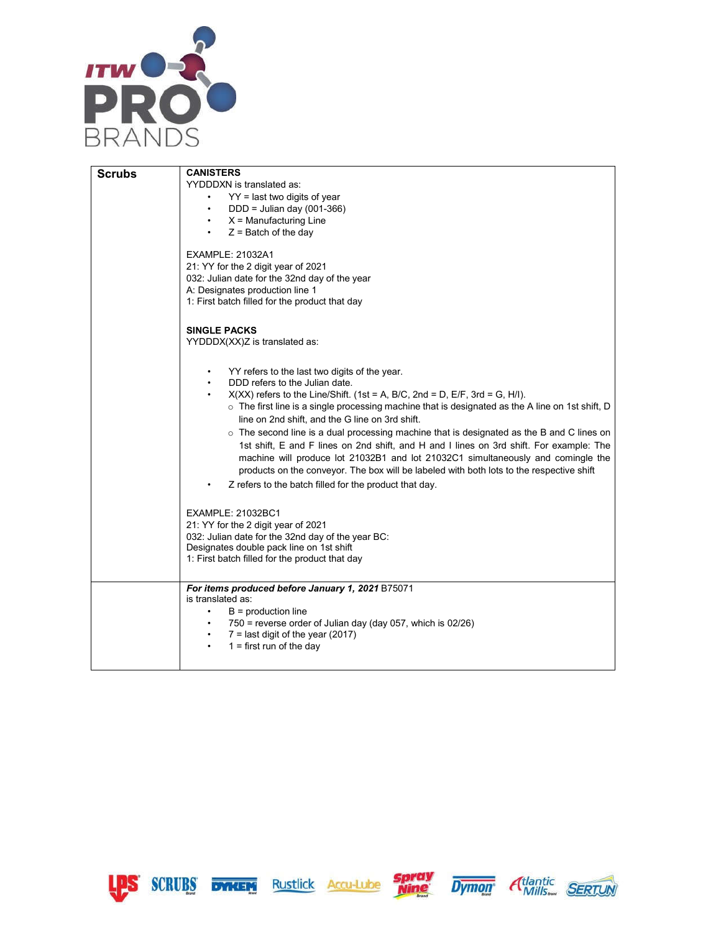

|               | <b>CANISTERS</b>                                                                                       |
|---------------|--------------------------------------------------------------------------------------------------------|
| <b>Scrubs</b> | YYDDDXN is translated as:                                                                              |
|               |                                                                                                        |
|               | $YY =$ last two digits of year                                                                         |
|               | $DDD =$ Julian day (001-366)                                                                           |
|               | $X =$ Manufacturing Line                                                                               |
|               | $Z =$ Batch of the day                                                                                 |
|               | EXAMPLE: 21032A1                                                                                       |
|               | 21: YY for the 2 digit year of 2021                                                                    |
|               | 032: Julian date for the 32nd day of the year                                                          |
|               | A: Designates production line 1                                                                        |
|               | 1: First batch filled for the product that day                                                         |
|               | <b>SINGLE PACKS</b>                                                                                    |
|               | YYDDDX(XX)Z is translated as:                                                                          |
|               | YY refers to the last two digits of the year.                                                          |
|               | DDD refers to the Julian date.                                                                         |
|               | $X(XX)$ refers to the Line/Shift. (1st = A, B/C, 2nd = D, E/F, 3rd = G, H/I).                          |
|               | $\circ$ The first line is a single processing machine that is designated as the A line on 1st shift, D |
|               | line on 2nd shift, and the G line on 3rd shift.                                                        |
|               |                                                                                                        |
|               | $\circ$ The second line is a dual processing machine that is designated as the B and C lines on        |
|               | 1st shift, E and F lines on 2nd shift, and H and I lines on 3rd shift. For example: The                |
|               | machine will produce lot 21032B1 and lot 21032C1 simultaneously and comingle the                       |
|               | products on the conveyor. The box will be labeled with both lots to the respective shift               |
|               | Z refers to the batch filled for the product that day.                                                 |
|               | <b>EXAMPLE: 21032BC1</b>                                                                               |
|               | 21: YY for the 2 digit year of 2021                                                                    |
|               |                                                                                                        |
|               | 032: Julian date for the 32nd day of the year BC:<br>Designates double pack line on 1st shift          |
|               | 1: First batch filled for the product that day                                                         |
|               |                                                                                                        |
|               | For items produced before January 1, 2021 B75071                                                       |
|               | is translated as:                                                                                      |
|               | $B =$ production line<br>$\bullet$                                                                     |
|               | 750 = reverse order of Julian day (day 057, which is 02/26)                                            |
|               | $7 =$ last digit of the year (2017)                                                                    |
|               | $1 =$ first run of the day<br>$\bullet$                                                                |
|               |                                                                                                        |









┑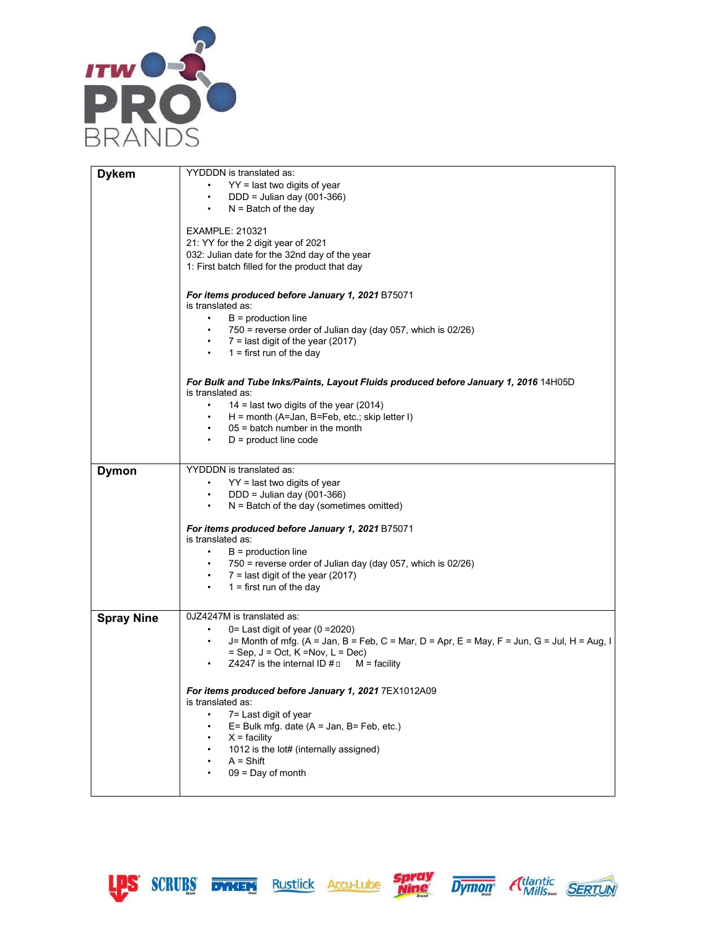

| <b>Dykem</b>      | YYDDDN is translated as:                                                                                 |
|-------------------|----------------------------------------------------------------------------------------------------------|
|                   | $YY =$ last two digits of year                                                                           |
|                   | DDD = Julian day (001-366)<br>$\bullet$ .<br><br><br><br><br><br><br><br><br><br><br><br>                |
|                   |                                                                                                          |
|                   | $N =$ Batch of the day                                                                                   |
|                   | <b>EXAMPLE: 210321</b>                                                                                   |
|                   |                                                                                                          |
|                   | 21: YY for the 2 digit year of 2021                                                                      |
|                   | 032: Julian date for the 32nd day of the year                                                            |
|                   | 1: First batch filled for the product that day                                                           |
|                   |                                                                                                          |
|                   | For items produced before January 1, 2021 B75071                                                         |
|                   | is translated as:                                                                                        |
|                   | $\bullet$<br>$B =$ production line                                                                       |
|                   | 750 = reverse order of Julian day (day 057, which is 02/26)                                              |
|                   | $7 =$ last digit of the year (2017)                                                                      |
|                   | $1 =$ first run of the day<br>$\bullet$                                                                  |
|                   |                                                                                                          |
|                   | For Bulk and Tube Inks/Paints, Layout Fluids produced before January 1, 2016 14H05D                      |
|                   | is translated as:                                                                                        |
|                   | 14 = last two digits of the year (2014)                                                                  |
|                   | $H =$ month (A=Jan, B=Feb, etc.; skip letter I)<br>$\bullet$                                             |
|                   | $05 =$ batch number in the month<br>$\bullet$                                                            |
|                   | $D =$ product line code                                                                                  |
|                   |                                                                                                          |
|                   | YYDDDN is translated as:                                                                                 |
| <b>Dymon</b>      |                                                                                                          |
|                   | $YY =$ last two digits of year                                                                           |
|                   | DDD = Julian day (001-366)<br>$\bullet$                                                                  |
|                   | $N =$ Batch of the day (sometimes omitted)                                                               |
|                   | For items produced before January 1, 2021 B75071<br>is translated as:                                    |
|                   | $\bullet$ . The set of $\bullet$<br>$B =$ production line                                                |
|                   | 750 = reverse order of Julian day (day 057, which is 02/26)<br>$\bullet$                                 |
|                   |                                                                                                          |
|                   | $7 =$ last digit of the year (2017)<br>$\bullet$                                                         |
|                   | $1 =$ first run of the day                                                                               |
|                   |                                                                                                          |
| <b>Spray Nine</b> | 0JZ4247M is translated as:                                                                               |
|                   | 0= Last digit of year (0 = 2020)<br>$\bullet$                                                            |
|                   | J= Month of mfg. (A = Jan, B = Feb, C = Mar, D = Apr, E = May, F = Jun, G = Jul, H = Aug, I<br>$\bullet$ |
|                   | $=$ Sep, J = Oct, K = Nov, L = Dec)                                                                      |
|                   | Z4247 is the internal ID $#$ $\square$<br>$M =$ facility                                                 |
|                   |                                                                                                          |
|                   | For items produced before January 1, 2021 7EX1012A09                                                     |
|                   | is translated as:                                                                                        |
|                   | 7= Last digit of year                                                                                    |
|                   | $E =$ Bulk mfg. date (A = Jan, B= Feb, etc.)                                                             |
|                   |                                                                                                          |
|                   | $X =$ facility                                                                                           |
|                   | 1012 is the lot# (internally assigned)<br>٠                                                              |
|                   | $A = Shift$                                                                                              |
|                   | $09 = Day of month$                                                                                      |
|                   |                                                                                                          |